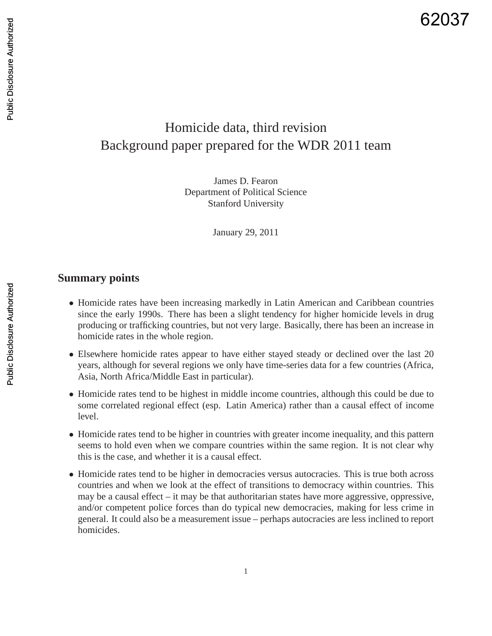# Homicide data, third revision Background paper prepared for the WDR 2011 team

James D. Fearon Department of Political Science Stanford University

January 29, 2011

## **Summary points**

- Homicide rates have been increasing markedly in Latin American and Caribbean countries since the early 1990s. There has been a slight tendency for higher homicide levels in drug producing or trafficking countries, but not very large. Basically, there has been an increase in homicide rates in the whole region.
- Elsewhere homicide rates appear to have either stayed steady or declined over the last 20 years, although for several regions we only have time-series data for a few countries (Africa, Asia, North Africa/Middle East in particular).
- Homicide rates tend to be highest in middle income countries, although this could be due to some correlated regional effect (esp. Latin America) rather than a causal effect of income level.
- Homicide rates tend to be higher in countries with greater income inequality, and this pattern seems to hold even when we compare countries within the same region. It is not clear why this is the case, and whether it is a causal effect.
- Homicide rates tend to be higher in democracies versus autocracies. This is true both across countries and when we look at the effect of transitions to democracy within countries. This may be a causal effect – it may be that authoritarian states have more aggressive, oppressive, and/or competent police forces than do typical new democracies, making for less crime in general. It could also be a measurement issue – perhaps autocracies are less inclined to report homicides.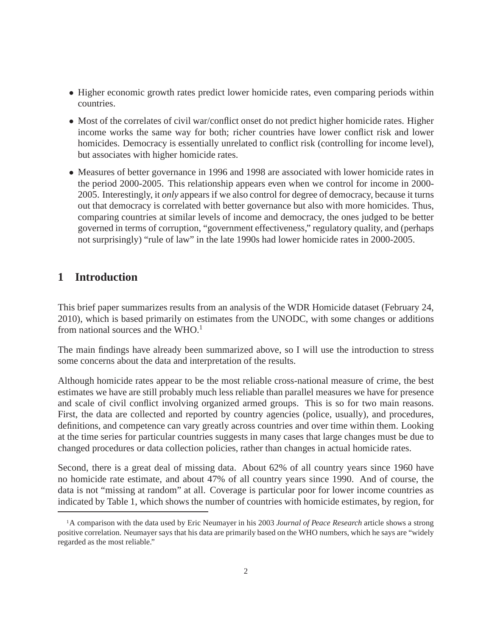- Higher economic growth rates predict lower homicide rates, even comparing periods within countries.
- Most of the correlates of civil war/conflict onset do not predict higher homicide rates. Higher income works the same way for both; richer countries have lower conflict risk and lower homicides. Democracy is essentially unrelated to conflict risk (controlling for income level), but associates with higher homicide rates.
- Measures of better governance in 1996 and 1998 are associated with lower homicide rates in the period 2000-2005. This relationship appears even when we control for income in 2000- 2005. Interestingly, it *only* appears if we also control for degree of democracy, because it turns out that democracy is correlated with better governance but also with more homicides. Thus, comparing countries at similar levels of income and democracy, the ones judged to be better governed in terms of corruption, "government effectiveness," regulatory quality, and (perhaps not surprisingly) "rule of law" in the late 1990s had lower homicide rates in 2000-2005.

## **1 Introduction**

This brief paper summarizes results from an analysis of the WDR Homicide dataset (February 24, 2010), which is based primarily on estimates from the UNODC, with some changes or additions from national sources and the  $WHO<sup>1</sup>$ 

The main findings have already been summarized above, so I will use the introduction to stress some concerns about the data and interpretation of the results.

Although homicide rates appear to be the most reliable cross-national measure of crime, the best estimates we have are still probably much less reliable than parallel measures we have for presence and scale of civil conflict involving organized armed groups. This is so for two main reasons. First, the data are collected and reported by country agencies (police, usually), and procedures, definitions, and competence can vary greatly across countries and over time within them. Looking at the time series for particular countries suggests in many cases that large changes must be due to changed procedures or data collection policies, rather than changes in actual homicide rates.

Second, there is a great deal of missing data. About 62% of all country years since 1960 have no homicide rate estimate, and about 47% of all country years since 1990. And of course, the data is not "missing at random" at all. Coverage is particular poor for lower income countries as indicated by Table 1, which shows the number of countries with homicide estimates, by region, for

<sup>1</sup>A comparison with the data used by Eric Neumayer in his 2003 *Journal of Peace Research* article shows a strong positive correlation. Neumayer says that his data are primarily based on the WHO numbers, which he says are "widely regarded as the most reliable."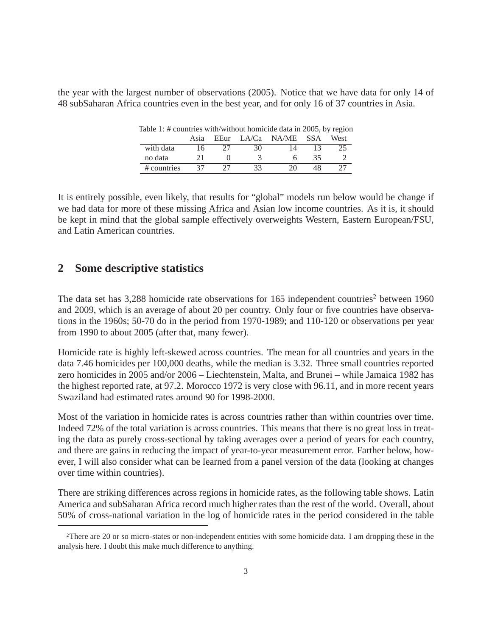the year with the largest number of observations (2005). Notice that we have data for only 14 of 48 subSaharan Africa countries even in the best year, and for only 16 of 37 countries in Asia.

Table 1: # countries with/without homicide data in 2005, by region Asia EEur LA/Ca NA/ME SSA West with data 16 27 30 14 13 25 no data 21 0 3 6 35 2 # countries 37 27 33 20 48 27

It is entirely possible, even likely, that results for "global" models run below would be change if we had data for more of these missing Africa and Asian low income countries. As it is, it should be kept in mind that the global sample effectively overweights Western, Eastern European/FSU, and Latin American countries.

## **2 Some descriptive statistics**

The data set has  $3,288$  homicide rate observations for 165 independent countries<sup>2</sup> between 1960 and 2009, which is an average of about 20 per country. Only four or five countries have observations in the 1960s; 50-70 do in the period from 1970-1989; and 110-120 or observations per year from 1990 to about 2005 (after that, many fewer).

Homicide rate is highly left-skewed across countries. The mean for all countries and years in the data 7.46 homicides per 100,000 deaths, while the median is 3.32. Three small countries reported zero homicides in 2005 and/or 2006 – Liechtenstein, Malta, and Brunei – while Jamaica 1982 has the highest reported rate, at 97.2. Morocco 1972 is very close with 96.11, and in more recent years Swaziland had estimated rates around 90 for 1998-2000.

Most of the variation in homicide rates is across countries rather than within countries over time. Indeed 72% of the total variation is across countries. This means that there is no great loss in treating the data as purely cross-sectional by taking averages over a period of years for each country, and there are gains in reducing the impact of year-to-year measurement error. Farther below, however, I will also consider what can be learned from a panel version of the data (looking at changes over time within countries).

There are striking differences across regions in homicide rates, as the following table shows. Latin America and subSaharan Africa record much higher rates than the rest of the world. Overall, about 50% of cross-national variation in the log of homicide rates in the period considered in the table

<sup>2</sup>There are 20 or so micro-states or non-independent entities with some homicide data. I am dropping these in the analysis here. I doubt this make much difference to anything.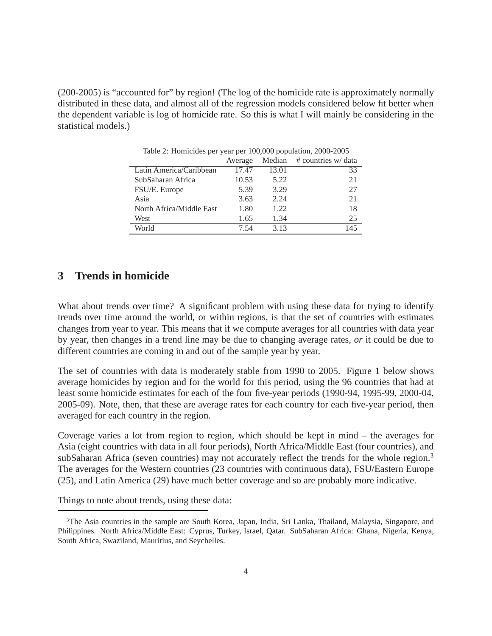(200-2005) is "accounted for" by region! (The log of the homicide rate is approximately normally distributed in these data, and almost all of the regression models considered below fit better when the dependent variable is log of homicide rate. So this is what I will mainly be considering in the statistical models.)

|                          | Average |       | Median $\#$ countries w/ data |
|--------------------------|---------|-------|-------------------------------|
| Latin America/Caribbean  | 17.47   | 13.01 | 33                            |
| SubSaharan Africa        | 10.53   | 5.22  | 21                            |
| FSU/E. Europe            | 5.39    | 3.29  | 27                            |
| Asia                     | 3.63    | 2.24  | 21                            |
| North Africa/Middle East | 1.80    | 1.22  | 18                            |
| West                     | 1.65    | 1.34  | 25                            |
| World                    | 7 54    | 3.13  | 145                           |

Table 2: Homicides per year per 100,000 population, 2000-2005

#### **3 Trends in homicide**

What about trends over time? A significant problem with using these data for trying to identify trends over time around the world, or within regions, is that the set of countries with estimates changes from year to year. This means that if we compute averages for all countries with data year by year, then changes in a trend line may be due to changing average rates, *or* it could be due to different countries are coming in and out of the sample year by year.

The set of countries with data is moderately stable from 1990 to 2005. Figure 1 below shows average homicides by region and for the world for this period, using the 96 countries that had at least some homicide estimates for each of the four five-year periods (1990-94, 1995-99, 2000-04, 2005-09). Note, then, that these are average rates for each country for each five-year period, then averaged for each country in the region.

Coverage varies a lot from region to region, which should be kept in mind – the averages for Asia (eight countries with data in all four periods), North Africa/Middle East (four countries), and subSaharan Africa (seven countries) may not accurately reflect the trends for the whole region.<sup>3</sup> The averages for the Western countries (23 countries with continuous data), FSU/Eastern Europe (25), and Latin America (29) have much better coverage and so are probably more indicative.

Things to note about trends, using these data:

<sup>3</sup>The Asia countries in the sample are South Korea, Japan, India, Sri Lanka, Thailand, Malaysia, Singapore, and Philippines. North Africa/Middle East: Cyprus, Turkey, Israel, Qatar. SubSaharan Africa: Ghana, Nigeria, Kenya, South Africa, Swaziland, Mauritius, and Seychelles.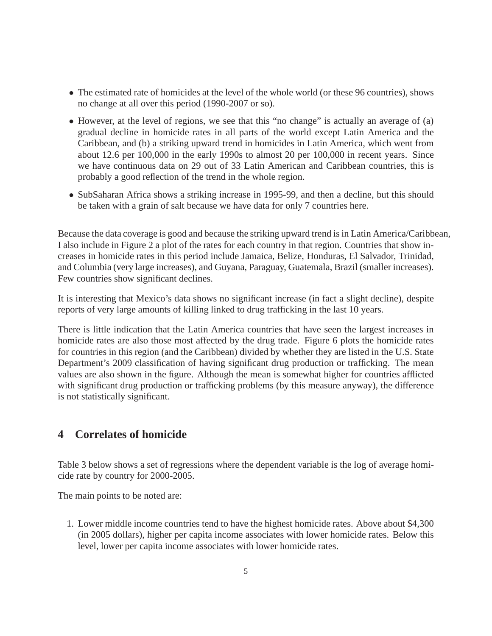- The estimated rate of homicides at the level of the whole world (or these 96 countries), shows no change at all over this period (1990-2007 or so).
- However, at the level of regions, we see that this "no change" is actually an average of (a) gradual decline in homicide rates in all parts of the world except Latin America and the Caribbean, and (b) a striking upward trend in homicides in Latin America, which went from about 12.6 per 100,000 in the early 1990s to almost 20 per 100,000 in recent years. Since we have continuous data on 29 out of 33 Latin American and Caribbean countries, this is probably a good reflection of the trend in the whole region.
- SubSaharan Africa shows a striking increase in 1995-99, and then a decline, but this should be taken with a grain of salt because we have data for only 7 countries here.

Because the data coverage is good and because the striking upward trend is in Latin America/Caribbean, I also include in Figure 2 a plot of the rates for each country in that region. Countries that show increases in homicide rates in this period include Jamaica, Belize, Honduras, El Salvador, Trinidad, and Columbia (very large increases), and Guyana, Paraguay, Guatemala, Brazil (smaller increases). Few countries show significant declines.

It is interesting that Mexico's data shows no significant increase (in fact a slight decline), despite reports of very large amounts of killing linked to drug trafficking in the last 10 years.

There is little indication that the Latin America countries that have seen the largest increases in homicide rates are also those most affected by the drug trade. Figure 6 plots the homicide rates for countries in this region (and the Caribbean) divided by whether they are listed in the U.S. State Department's 2009 classification of having significant drug production or trafficking. The mean values are also shown in the figure. Although the mean is somewhat higher for countries afflicted with significant drug production or trafficking problems (by this measure anyway), the difference is not statistically significant.

# **4 Correlates of homicide**

Table 3 below shows a set of regressions where the dependent variable is the log of average homicide rate by country for 2000-2005.

The main points to be noted are:

1. Lower middle income countries tend to have the highest homicide rates. Above about \$4,300 (in 2005 dollars), higher per capita income associates with lower homicide rates. Below this level, lower per capita income associates with lower homicide rates.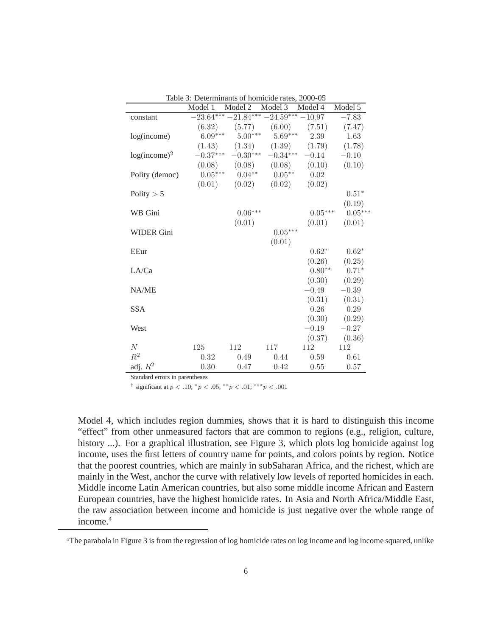| Model 1<br>Model 2<br>Model 3<br>Model 4<br>Model 5<br>$-23.64***-21.84***-24.59***-10.97$<br>$-7.83$<br>constant<br>$(6.32)$ $(5.77)$ $(6.00)$ $(7.51)$ $(7.47)$<br>$6.09***$ $5.00***$ $5.69***$ 2.39<br>1.63<br>log(income)<br>$(1.43)$ $(1.34)$ $(1.39)$ $(1.79)$ $(1.78)$<br>$-0.37***$ $-0.30***$ $-0.34***$ $-0.14$<br>$log(income)^2$<br>$-0.10$<br>$(0.08)$ $(0.08)$ $(0.08)$ $(0.10)$<br>(0.10)<br>$0.05***$ $0.04***$ $0.05***$ $0.02$<br>Polity (democ)<br>$(0.01)$ $(0.02)$ $(0.02)$ $(0.02)$<br>Polity $> 5$<br>$0.51*$<br>(0.19)<br>$0.05***$<br>$0.05***$<br>WB Gini<br>$0.06***$<br>(0.01)<br>(0.01)<br>(0.01) |
|---------------------------------------------------------------------------------------------------------------------------------------------------------------------------------------------------------------------------------------------------------------------------------------------------------------------------------------------------------------------------------------------------------------------------------------------------------------------------------------------------------------------------------------------------------------------------------------------------------------------------------|
|                                                                                                                                                                                                                                                                                                                                                                                                                                                                                                                                                                                                                                 |
|                                                                                                                                                                                                                                                                                                                                                                                                                                                                                                                                                                                                                                 |
|                                                                                                                                                                                                                                                                                                                                                                                                                                                                                                                                                                                                                                 |
|                                                                                                                                                                                                                                                                                                                                                                                                                                                                                                                                                                                                                                 |
|                                                                                                                                                                                                                                                                                                                                                                                                                                                                                                                                                                                                                                 |
|                                                                                                                                                                                                                                                                                                                                                                                                                                                                                                                                                                                                                                 |
|                                                                                                                                                                                                                                                                                                                                                                                                                                                                                                                                                                                                                                 |
|                                                                                                                                                                                                                                                                                                                                                                                                                                                                                                                                                                                                                                 |
|                                                                                                                                                                                                                                                                                                                                                                                                                                                                                                                                                                                                                                 |
|                                                                                                                                                                                                                                                                                                                                                                                                                                                                                                                                                                                                                                 |
|                                                                                                                                                                                                                                                                                                                                                                                                                                                                                                                                                                                                                                 |
|                                                                                                                                                                                                                                                                                                                                                                                                                                                                                                                                                                                                                                 |
|                                                                                                                                                                                                                                                                                                                                                                                                                                                                                                                                                                                                                                 |
| $0.05***$<br><b>WIDER Gini</b>                                                                                                                                                                                                                                                                                                                                                                                                                                                                                                                                                                                                  |
| (0.01)                                                                                                                                                                                                                                                                                                                                                                                                                                                                                                                                                                                                                          |
| $0.62*$<br>$0.62*$<br>EEur                                                                                                                                                                                                                                                                                                                                                                                                                                                                                                                                                                                                      |
| $(0.26)$ $(0.25)$                                                                                                                                                                                                                                                                                                                                                                                                                                                                                                                                                                                                               |
| $0.80**$ $0.71*$<br>LA/Ca                                                                                                                                                                                                                                                                                                                                                                                                                                                                                                                                                                                                       |
| $(0.30)$ $(0.29)$                                                                                                                                                                                                                                                                                                                                                                                                                                                                                                                                                                                                               |
| NA/ME<br>$-0.49$<br>$-0.39$                                                                                                                                                                                                                                                                                                                                                                                                                                                                                                                                                                                                     |
| $(0.31)$ $(0.31)$                                                                                                                                                                                                                                                                                                                                                                                                                                                                                                                                                                                                               |
| 0.26<br>0.29<br><b>SSA</b>                                                                                                                                                                                                                                                                                                                                                                                                                                                                                                                                                                                                      |
| $(0.30)$ $(0.29)$                                                                                                                                                                                                                                                                                                                                                                                                                                                                                                                                                                                                               |
| $-0.19$<br>$-0.27$<br>West                                                                                                                                                                                                                                                                                                                                                                                                                                                                                                                                                                                                      |
| $(0.37)$ $(0.36)$                                                                                                                                                                                                                                                                                                                                                                                                                                                                                                                                                                                                               |
| N<br>112<br>112<br>112<br>125<br>117                                                                                                                                                                                                                                                                                                                                                                                                                                                                                                                                                                                            |
| $R^2$<br>0.32<br>0.49<br>0.44<br>0.59<br>0.61                                                                                                                                                                                                                                                                                                                                                                                                                                                                                                                                                                                   |
| adj. $R^2$<br>0.30<br>0.55<br>0.57<br>0.47<br>0.42                                                                                                                                                                                                                                                                                                                                                                                                                                                                                                                                                                              |

Table 3: Determinants of homicide rates, 2000-05

Standard errors in parentheses

<sup>†</sup> significant at  $p < .10$ ;  ${}^*p < .05$ ;  ${}^{**}p < .01$ ;  ${}^{***}p < .001$ 

Model 4, which includes region dummies, shows that it is hard to distinguish this income "effect" from other unmeasured factors that are common to regions (e.g., religion, culture, history ...). For a graphical illustration, see Figure 3, which plots log homicide against log income, uses the first letters of country name for points, and colors points by region. Notice that the poorest countries, which are mainly in subSaharan Africa, and the richest, which are mainly in the West, anchor the curve with relatively low levels of reported homicides in each. Middle income Latin American countries, but also some middle income African and Eastern European countries, have the highest homicide rates. In Asia and North Africa/Middle East, the raw association between income and homicide is just negative over the whole range of income.4

<sup>4</sup>The parabola in Figure 3 is from the regression of log homicide rates on log income and log income squared, unlike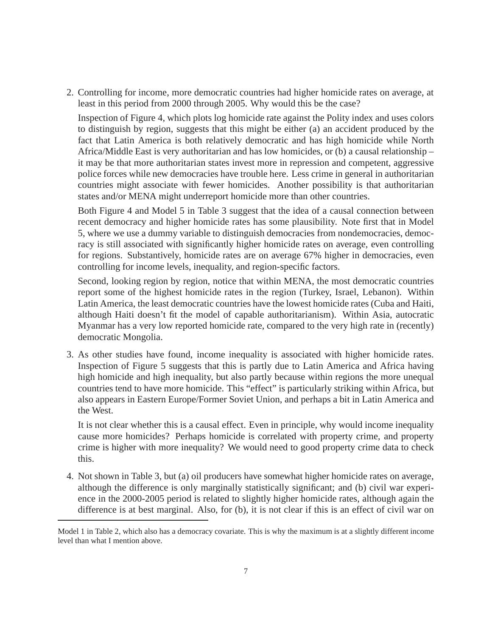2. Controlling for income, more democratic countries had higher homicide rates on average, at least in this period from 2000 through 2005. Why would this be the case?

Inspection of Figure 4, which plots log homicide rate against the Polity index and uses colors to distinguish by region, suggests that this might be either (a) an accident produced by the fact that Latin America is both relatively democratic and has high homicide while North Africa/Middle East is very authoritarian and has low homicides, or (b) a causal relationship – it may be that more authoritarian states invest more in repression and competent, aggressive police forces while new democracies have trouble here. Less crime in general in authoritarian countries might associate with fewer homicides. Another possibility is that authoritarian states and/or MENA might underreport homicide more than other countries.

Both Figure 4 and Model 5 in Table 3 suggest that the idea of a causal connection between recent democracy and higher homicide rates has some plausibility. Note first that in Model 5, where we use a dummy variable to distinguish democracies from nondemocracies, democracy is still associated with significantly higher homicide rates on average, even controlling for regions. Substantively, homicide rates are on average 67% higher in democracies, even controlling for income levels, inequality, and region-specific factors.

Second, looking region by region, notice that within MENA, the most democratic countries report some of the highest homicide rates in the region (Turkey, Israel, Lebanon). Within Latin America, the least democratic countries have the lowest homicide rates (Cuba and Haiti, although Haiti doesn't fit the model of capable authoritarianism). Within Asia, autocratic Myanmar has a very low reported homicide rate, compared to the very high rate in (recently) democratic Mongolia.

3. As other studies have found, income inequality is associated with higher homicide rates. Inspection of Figure 5 suggests that this is partly due to Latin America and Africa having high homicide and high inequality, but also partly because within regions the more unequal countries tend to have more homicide. This "effect" is particularly striking within Africa, but also appears in Eastern Europe/Former Soviet Union, and perhaps a bit in Latin America and the West.

It is not clear whether this is a causal effect. Even in principle, why would income inequality cause more homicides? Perhaps homicide is correlated with property crime, and property crime is higher with more inequality? We would need to good property crime data to check this.

4. Not shown in Table 3, but (a) oil producers have somewhat higher homicide rates on average, although the difference is only marginally statistically significant; and (b) civil war experience in the 2000-2005 period is related to slightly higher homicide rates, although again the difference is at best marginal. Also, for (b), it is not clear if this is an effect of civil war on

Model 1 in Table 2, which also has a democracy covariate. This is why the maximum is at a slightly different income level than what I mention above.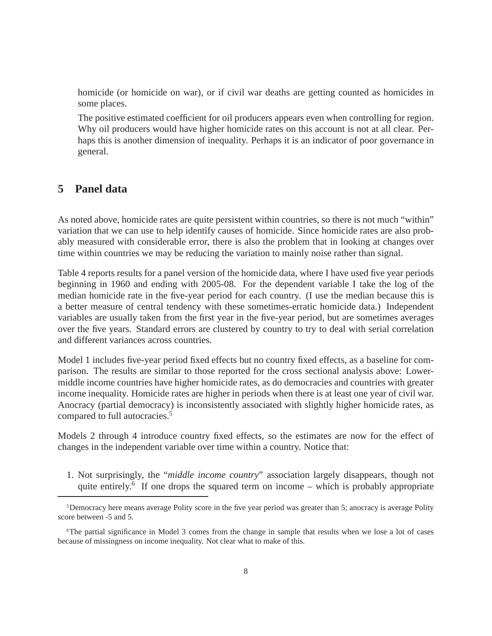homicide (or homicide on war), or if civil war deaths are getting counted as homicides in some places.

The positive estimated coefficient for oil producers appears even when controlling for region. Why oil producers would have higher homicide rates on this account is not at all clear. Perhaps this is another dimension of inequality. Perhaps it is an indicator of poor governance in general.

#### **5 Panel data**

As noted above, homicide rates are quite persistent within countries, so there is not much "within" variation that we can use to help identify causes of homicide. Since homicide rates are also probably measured with considerable error, there is also the problem that in looking at changes over time within countries we may be reducing the variation to mainly noise rather than signal.

Table 4 reports results for a panel version of the homicide data, where I have used five year periods beginning in 1960 and ending with 2005-08. For the dependent variable I take the log of the median homicide rate in the five-year period for each country. (I use the median because this is a better measure of central tendency with these sometimes-erratic homicide data.) Independent variables are usually taken from the first year in the five-year period, but are sometimes averages over the five years. Standard errors are clustered by country to try to deal with serial correlation and different variances across countries.

Model 1 includes five-year period fixed effects but no country fixed effects, as a baseline for comparison. The results are similar to those reported for the cross sectional analysis above: Lowermiddle income countries have higher homicide rates, as do democracies and countries with greater income inequality. Homicide rates are higher in periods when there is at least one year of civil war. Anocracy (partial democracy) is inconsistently associated with slightly higher homicide rates, as compared to full autocracies.<sup>5</sup>

Models 2 through 4 introduce country fixed effects, so the estimates are now for the effect of changes in the independent variable over time within a country. Notice that:

1. Not surprisingly, the "*middle income country*" association largely disappears, though not quite entirely.<sup>6</sup> If one drops the squared term on income – which is probably appropriate

<sup>5</sup>Democracy here means average Polity score in the five year period was greater than 5; anocracy is average Polity score between -5 and 5.

<sup>6</sup>The partial significance in Model 3 comes from the change in sample that results when we lose a lot of cases because of missingness on income inequality. Not clear what to make of this.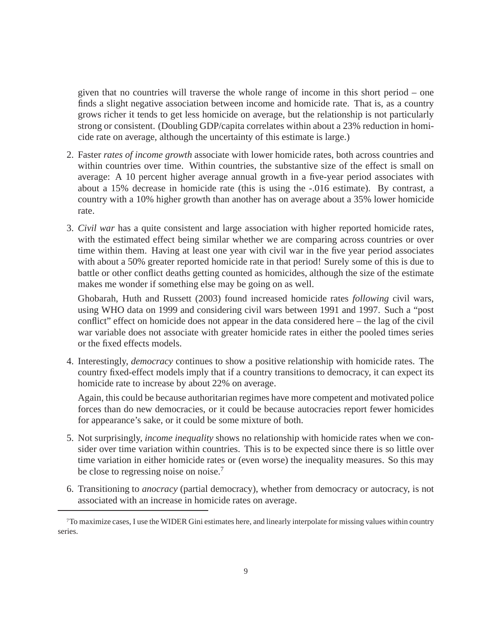given that no countries will traverse the whole range of income in this short period – one finds a slight negative association between income and homicide rate. That is, as a country grows richer it tends to get less homicide on average, but the relationship is not particularly strong or consistent. (Doubling GDP/capita correlates within about a 23% reduction in homicide rate on average, although the uncertainty of this estimate is large.)

- 2. Faster *rates of income growth* associate with lower homicide rates, both across countries and within countries over time. Within countries, the substantive size of the effect is small on average: A 10 percent higher average annual growth in a five-year period associates with about a 15% decrease in homicide rate (this is using the -.016 estimate). By contrast, a country with a 10% higher growth than another has on average about a 35% lower homicide rate.
- 3. *Civil war* has a quite consistent and large association with higher reported homicide rates, with the estimated effect being similar whether we are comparing across countries or over time within them. Having at least one year with civil war in the five year period associates with about a 50% greater reported homicide rate in that period! Surely some of this is due to battle or other conflict deaths getting counted as homicides, although the size of the estimate makes me wonder if something else may be going on as well.

Ghobarah, Huth and Russett (2003) found increased homicide rates *following* civil wars, using WHO data on 1999 and considering civil wars between 1991 and 1997. Such a "post conflict" effect on homicide does not appear in the data considered here – the lag of the civil war variable does not associate with greater homicide rates in either the pooled times series or the fixed effects models.

4. Interestingly, *democracy* continues to show a positive relationship with homicide rates. The country fixed-effect models imply that if a country transitions to democracy, it can expect its homicide rate to increase by about 22% on average.

Again, this could be because authoritarian regimes have more competent and motivated police forces than do new democracies, or it could be because autocracies report fewer homicides for appearance's sake, or it could be some mixture of both.

- 5. Not surprisingly, *income inequality* shows no relationship with homicide rates when we consider over time variation within countries. This is to be expected since there is so little over time variation in either homicide rates or (even worse) the inequality measures. So this may be close to regressing noise on noise.<sup>7</sup>
- 6. Transitioning to *anocracy* (partial democracy), whether from democracy or autocracy, is not associated with an increase in homicide rates on average.

<sup>7</sup>To maximize cases, I use the WIDER Gini estimates here, and linearly interpolate for missing values within country series.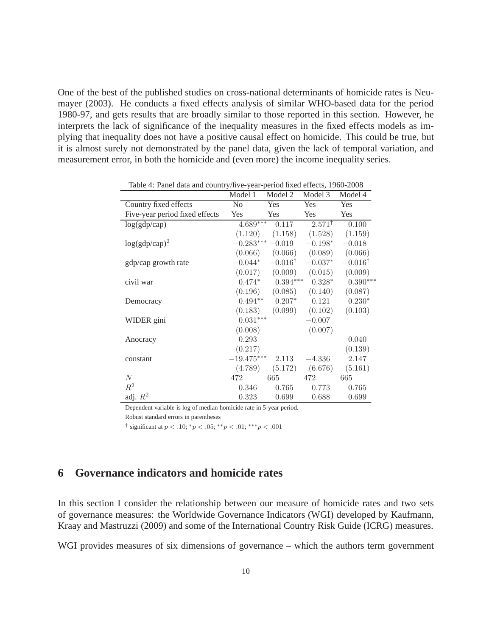One of the best of the published studies on cross-national determinants of homicide rates is Neumayer (2003). He conducts a fixed effects analysis of similar WHO-based data for the period 1980-97, and gets results that are broadly similar to those reported in this section. However, he interprets the lack of significance of the inequality measures in the fixed effects models as implying that inequality does not have a positive causal effect on homicide. This could be true, but it is almost surely not demonstrated by the panel data, given the lack of temporal variation, and measurement error, in both the homicide and (even more) the income inequality series.

|                                | Model 1        | Model 2            | Model 3           | Model 4            |
|--------------------------------|----------------|--------------------|-------------------|--------------------|
| Country fixed effects          | N <sub>o</sub> | Yes                | Yes               | Yes                |
| Five-year period fixed effects | Yes            | <b>Yes</b>         | Yes               | Yes                |
| log(gdp/cap)                   | $4.689***$     | 0.117              | $2.571^{\dagger}$ | 0.100              |
|                                | (1.120)        | (1.158)            | (1.528)           | (1.159)            |
| $log(gdp/cap)^2$               | $-0.283***$    | $-0.019$           | $-0.198*$         | $-0.018$           |
|                                | (0.066)        | (0.066)            | (0.089)           | (0.066)            |
| gdp/cap growth rate            | $-0.044*$      | $-0.016^{\dagger}$ | $-0.037*$         | $-0.016^{\dagger}$ |
|                                | (0.017)        | (0.009)            | (0.015)           | (0.009)            |
| civil war                      | $0.474*$       | $0.394***$         | $0.328*$          | $0.390***$         |
|                                | (0.196)        | (0.085)            | (0.140)           | (0.087)            |
| Democracy                      | $0.494**$      | $0.207*$           | 0.121             | $0.230*$           |
|                                | (0.183)        | (0.099)            | (0.102)           | (0.103)            |
| WIDER gini                     | $0.031***$     |                    | $-0.007$          |                    |
|                                | (0.008)        |                    | (0.007)           |                    |
| Anocracy                       | 0.293          |                    |                   | 0.040              |
|                                | (0.217)        |                    |                   | (0.139)            |
| constant                       | $-19.475***$   | 2.113              | $-4.336$          | 2.147              |
|                                | (4.789)        | (5.172)            | (6.676)           | (5.161)            |
| N                              | 472            | 665                | 472               | 665                |
| $R^2$                          | 0.346          | 0.765              | 0.773             | 0.765              |
| adj. $R^2$                     | 0.323          | 0.699              | 0.688             | 0.699              |

Table 4: Panel data and country/five-year-period fixed effects, 1960-2008

Dependent variable is log of median homicide rate in 5-year period.

Robust standard errors in parentheses

<sup>†</sup> significant at  $p < .10$ ;  ${}^*p < .05$ ;  ${}^{**}p < .01$ ;  ${}^{***}p < .001$ 

## **6 Governance indicators and homicide rates**

In this section I consider the relationship between our measure of homicide rates and two sets of governance measures: the Worldwide Governance Indicators (WGI) developed by Kaufmann, Kraay and Mastruzzi (2009) and some of the International Country Risk Guide (ICRG) measures.

WGI provides measures of six dimensions of governance – which the authors term government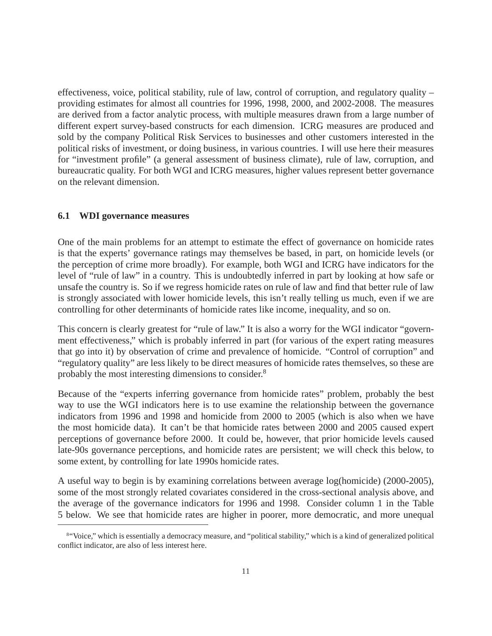effectiveness, voice, political stability, rule of law, control of corruption, and regulatory quality – providing estimates for almost all countries for 1996, 1998, 2000, and 2002-2008. The measures are derived from a factor analytic process, with multiple measures drawn from a large number of different expert survey-based constructs for each dimension. ICRG measures are produced and sold by the company Political Risk Services to businesses and other customers interested in the political risks of investment, or doing business, in various countries. I will use here their measures for "investment profile" (a general assessment of business climate), rule of law, corruption, and bureaucratic quality. For both WGI and ICRG measures, higher values represent better governance on the relevant dimension.

#### **6.1 WDI governance measures**

One of the main problems for an attempt to estimate the effect of governance on homicide rates is that the experts' governance ratings may themselves be based, in part, on homicide levels (or the perception of crime more broadly). For example, both WGI and ICRG have indicators for the level of "rule of law" in a country. This is undoubtedly inferred in part by looking at how safe or unsafe the country is. So if we regress homicide rates on rule of law and find that better rule of law is strongly associated with lower homicide levels, this isn't really telling us much, even if we are controlling for other determinants of homicide rates like income, inequality, and so on.

This concern is clearly greatest for "rule of law." It is also a worry for the WGI indicator "government effectiveness," which is probably inferred in part (for various of the expert rating measures that go into it) by observation of crime and prevalence of homicide. "Control of corruption" and "regulatory quality" are less likely to be direct measures of homicide rates themselves, so these are probably the most interesting dimensions to consider.8

Because of the "experts inferring governance from homicide rates" problem, probably the best way to use the WGI indicators here is to use examine the relationship between the governance indicators from 1996 and 1998 and homicide from 2000 to 2005 (which is also when we have the most homicide data). It can't be that homicide rates between 2000 and 2005 caused expert perceptions of governance before 2000. It could be, however, that prior homicide levels caused late-90s governance perceptions, and homicide rates are persistent; we will check this below, to some extent, by controlling for late 1990s homicide rates.

A useful way to begin is by examining correlations between average log(homicide) (2000-2005), some of the most strongly related covariates considered in the cross-sectional analysis above, and the average of the governance indicators for 1996 and 1998. Consider column 1 in the Table 5 below. We see that homicide rates are higher in poorer, more democratic, and more unequal

<sup>8&</sup>quot;Voice," which is essentially a democracy measure, and "political stability," which is a kind of generalized political conflict indicator, are also of less interest here.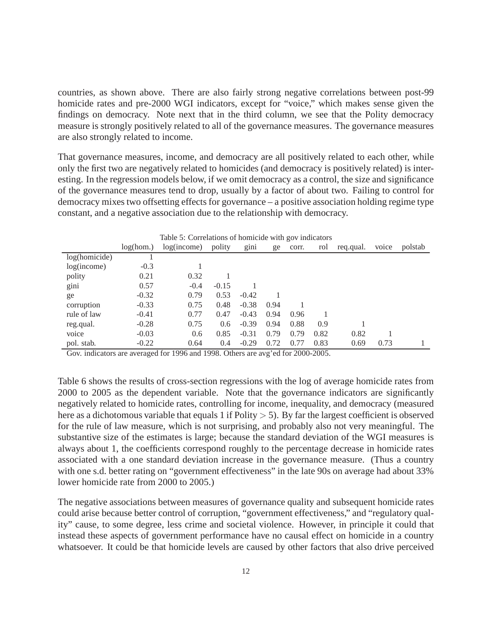countries, as shown above. There are also fairly strong negative correlations between post-99 homicide rates and pre-2000 WGI indicators, except for "voice," which makes sense given the findings on democracy. Note next that in the third column, we see that the Polity democracy measure is strongly positively related to all of the governance measures. The governance measures are also strongly related to income.

That governance measures, income, and democracy are all positively related to each other, while only the first two are negatively related to homicides (and democracy is positively related) is interesting. In the regression models below, if we omit democracy as a control, the size and significance of the governance measures tend to drop, usually by a factor of about two. Failing to control for democracy mixes two offsetting effects for governance – a positive association holding regime type constant, and a negative association due to the relationship with democracy.

| Table 5: Correlations of homicide with gov indicators |           |             |               |         |      |       |      |           |       |         |
|-------------------------------------------------------|-----------|-------------|---------------|---------|------|-------|------|-----------|-------|---------|
|                                                       | log(hom.) | log(income) | polity        | gini    | ge   | corr. | rol  | reg.qual. | voice | polstab |
| log(homicide)                                         |           |             |               |         |      |       |      |           |       |         |
| log(income)                                           | $-0.3$    |             |               |         |      |       |      |           |       |         |
| polity                                                | 0.21      | 0.32        |               |         |      |       |      |           |       |         |
| gini                                                  | 0.57      | $-0.4$      | $-0.15$       |         |      |       |      |           |       |         |
| ge                                                    | $-0.32$   | 0.79        | 0.53          | $-0.42$ |      |       |      |           |       |         |
| corruption                                            | $-0.33$   | 0.75        | 0.48          | $-0.38$ | 0.94 |       |      |           |       |         |
| rule of law                                           | $-0.41$   | 0.77        | 0.47          | $-0.43$ | 0.94 | 0.96  |      |           |       |         |
| reg.qual.                                             | $-0.28$   | 0.75        | $0.6^{\circ}$ | $-0.39$ | 0.94 | 0.88  | 0.9  |           |       |         |
| voice                                                 | $-0.03$   | 0.6         | 0.85          | $-0.31$ | 0.79 | 0.79  | 0.82 | 0.82      |       |         |
| pol. stab.                                            | $-0.22$   | 0.64        | 0.4           | $-0.29$ | 0.72 | 0.77  | 0.83 | 0.69      | 0.73  |         |

Gov. indicators are averaged for 1996 and 1998. Others are avg'ed for 2000-2005.

Table 6 shows the results of cross-section regressions with the log of average homicide rates from 2000 to 2005 as the dependent variable. Note that the governance indicators are significantly negatively related to homicide rates, controlling for income, inequality, and democracy (measured here as a dichotomous variable that equals 1 if Polity  $> 5$ ). By far the largest coefficient is observed for the rule of law measure, which is not surprising, and probably also not very meaningful. The substantive size of the estimates is large; because the standard deviation of the WGI measures is always about 1, the coefficients correspond roughly to the percentage decrease in homicide rates associated with a one standard deviation increase in the governance measure. (Thus a country with one s.d. better rating on "government effectiveness" in the late 90s on average had about 33% lower homicide rate from 2000 to 2005.)

The negative associations between measures of governance quality and subsequent homicide rates could arise because better control of corruption, "government effectiveness," and "regulatory quality" cause, to some degree, less crime and societal violence. However, in principle it could that instead these aspects of government performance have no causal effect on homicide in a country whatsoever. It could be that homicide levels are caused by other factors that also drive perceived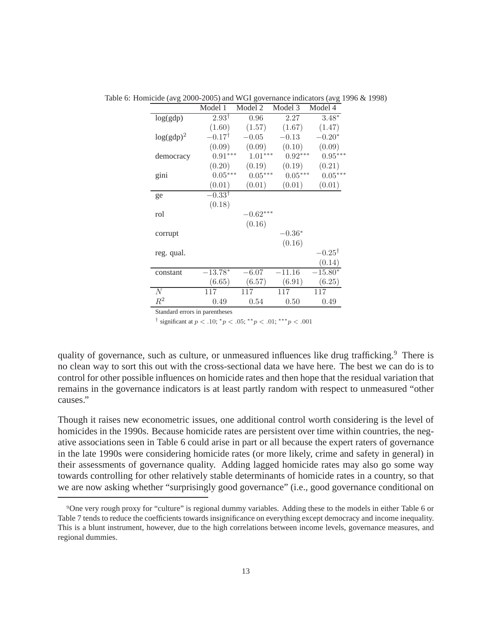|              | Model 1           | Model 2    | Model 3   | Model 4           |
|--------------|-------------------|------------|-----------|-------------------|
| log(gdp)     | $2.93^{\dagger}$  | 0.96       | 2.27      | $3.48*$           |
|              | (1.60)            | (1.57)     | (1.67)    | (1.47)            |
| $log(gdp)^2$ | $-0.17^{\dagger}$ | $-0.05$    | $-0.13$   | $-0.20*$          |
|              | (0.09)            | (0.09)     | (0.10)    | (0.09)            |
| democracy    | $0.91***$         | $1.01***$  | $0.92***$ | $0.95***$         |
|              | (0.20)            | (0.19)     | (0.19)    | (0.21)            |
| gini         | $0.05***$         | $0.05***$  | $0.05***$ | $0.05***$         |
|              | (0.01)            | (0.01)     | (0.01)    | (0.01)            |
| ge           | $-0.33^{\dagger}$ |            |           |                   |
|              | (0.18)            |            |           |                   |
| rol          |                   | $-0.62***$ |           |                   |
|              |                   | (0.16)     |           |                   |
| corrupt      |                   |            | $-0.36*$  |                   |
|              |                   |            | (0.16)    |                   |
| reg. qual.   |                   |            |           | $-0.25^{\dagger}$ |
|              |                   |            |           | (0.14)            |
| constant     | $-13.78*$         | $-6.07$    | $-11.16$  | $-15.80*$         |
|              | (6.65)            | (6.57)     | (6.91)    | (6.25)            |
| N            | 117               | 117        | 117       | 117               |
| $\,R^2$      | 0.49              | 0.54       | 0.50      | 0.49              |

Table 6: Homicide (avg 2000-2005) and WGI governance indicators (avg 1996 & 1998)

Standard errors in parentheses

<sup>†</sup> significant at  $p < .10$ ;  ${}^*p < .05$ ;  ${}^{**}p < .01$ ;  ${}^{***}p < .001$ 

quality of governance, such as culture, or unmeasured influences like drug trafficking.<sup>9</sup> There is no clean way to sort this out with the cross-sectional data we have here. The best we can do is to control for other possible influences on homicide rates and then hope that the residual variation that remains in the governance indicators is at least partly random with respect to unmeasured "other causes."

Though it raises new econometric issues, one additional control worth considering is the level of homicides in the 1990s. Because homicide rates are persistent over time within countries, the negative associations seen in Table 6 could arise in part or all because the expert raters of governance in the late 1990s were considering homicide rates (or more likely, crime and safety in general) in their assessments of governance quality. Adding lagged homicide rates may also go some way towards controlling for other relatively stable determinants of homicide rates in a country, so that we are now asking whether "surprisingly good governance" (i.e., good governance conditional on

<sup>9</sup>One very rough proxy for "culture" is regional dummy variables. Adding these to the models in either Table 6 or Table 7 tends to reduce the coefficients towards insignificance on everything except democracy and income inequality. This is a blunt instrument, however, due to the high correlations between income levels, governance measures, and regional dummies.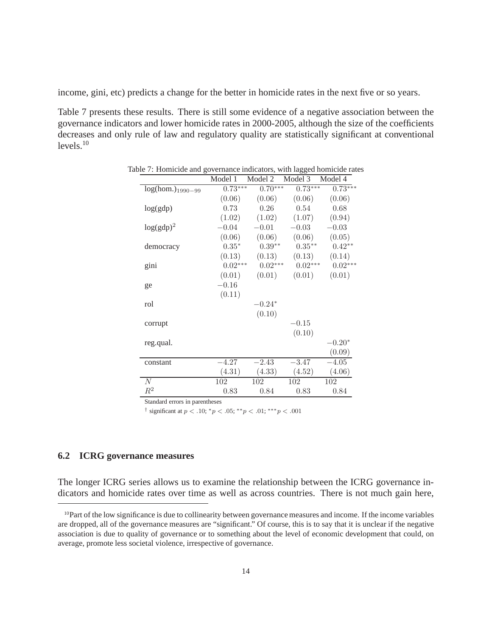income, gini, etc) predicts a change for the better in homicide rates in the next five or so years.

Table 7 presents these results. There is still some evidence of a negative association between the governance indicators and lower homicide rates in 2000-2005, although the size of the coefficients decreases and only rule of law and regulatory quality are statistically significant at conventional  $levels.<sup>10</sup>$ 

|                       | Model 1   | Model 2   | Model 3   | Model 4   |
|-----------------------|-----------|-----------|-----------|-----------|
| $log(hom.)_{1990-99}$ | $0.73***$ | $0.70***$ | $0.73***$ | $0.73***$ |
|                       | (0.06)    | (0.06)    | (0.06)    | (0.06)    |
| log(gdp)              | 0.73      | 0.26      | 0.54      | 0.68      |
|                       | (1.02)    | (1.02)    | (1.07)    | (0.94)    |
| $log(gdp)^2$          | $-0.04$   | $-0.01$   | $-0.03$   | $-0.03$   |
|                       | (0.06)    | (0.06)    | (0.06)    | (0.05)    |
| democracy             | $0.35*$   | $0.39**$  | $0.35***$ | $0.42**$  |
|                       | (0.13)    | (0.13)    | (0.13)    | (0.14)    |
| gini                  | $0.02***$ | $0.02***$ | $0.02***$ | $0.02***$ |
|                       | (0.01)    | (0.01)    | (0.01)    | (0.01)    |
| ge                    | $-0.16$   |           |           |           |
|                       | (0.11)    |           |           |           |
| rol                   |           | $-0.24*$  |           |           |
|                       |           | (0.10)    |           |           |
| corrupt               |           |           | $-0.15$   |           |
|                       |           |           | (0.10)    |           |
| reg.qual.             |           |           |           | $-0.20*$  |
|                       |           |           |           | (0.09)    |
| constant              | $-4.27$   | $-2.43$   | $-3.47$   | $-4.05$   |
|                       | (4.31)    | (4.33)    | (4.52)    | (4.06)    |
| N                     | 102       | 102       | 102       | 102       |
| $R^2$                 | 0.83      | 0.84      | 0.83      | 0.84      |

| Table 7: Homicide and governance indicators, with lagged homicide rates |  |  |  |
|-------------------------------------------------------------------------|--|--|--|
|-------------------------------------------------------------------------|--|--|--|

Standard errors in parentheses

<sup>†</sup> significant at  $p < .10$ ;  ${}^*p < .05$ ;  ${}^{**}p < .01$ ;  ${}^{***}p < .001$ 

#### **6.2 ICRG governance measures**

The longer ICRG series allows us to examine the relationship between the ICRG governance indicators and homicide rates over time as well as across countries. There is not much gain here,

<sup>10</sup>Part of the low significance is due to collinearity between governance measures and income. If the income variables are dropped, all of the governance measures are "significant." Of course, this is to say that it is unclear if the negative association is due to quality of governance or to something about the level of economic development that could, on average, promote less societal violence, irrespective of governance.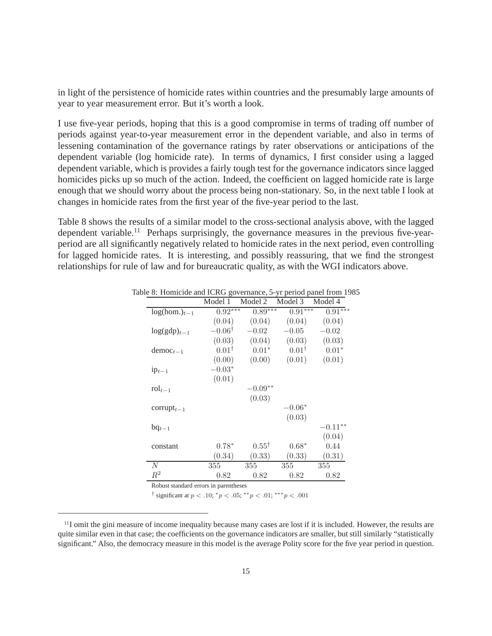in light of the persistence of homicide rates within countries and the presumably large amounts of year to year measurement error. But it's worth a look.

I use five-year periods, hoping that this is a good compromise in terms of trading off number of periods against year-to-year measurement error in the dependent variable, and also in terms of lessening contamination of the governance ratings by rater observations or anticipations of the dependent variable (log homicide rate). In terms of dynamics, I first consider using a lagged dependent variable, which is provides a fairly tough test for the governance indicators since lagged homicides picks up so much of the action. Indeed, the coefficient on lagged homicide rate is large enough that we should worry about the process being non-stationary. So, in the next table I look at changes in homicide rates from the first year of the five-year period to the last.

Table 8 shows the results of a similar model to the cross-sectional analysis above, with the lagged dependent variable.<sup>11</sup> Perhaps surprisingly, the governance measures in the previous five-yearperiod are all significantly negatively related to homicide rates in the next period, even controlling for lagged homicide rates. It is interesting, and possibly reassuring, that we find the strongest relationships for rule of law and for bureaucratic quality, as with the WGI indicators above.

|                                     | Model 1           | Model 2          | Model 3          | Model 4    |
|-------------------------------------|-------------------|------------------|------------------|------------|
| $log(hom.)_{t-1}$                   | $0.92***$         | $0.89***$        | $0.91***$        | $0.91***$  |
|                                     | (0.04)            | (0.04)           | (0.04)           | (0.04)     |
| $log(gdp)_{t-1}$                    | $-0.06^{\dagger}$ | $-0.02$          | $-0.05$          | $-0.02$    |
|                                     | (0.03)            | (0.04)           | (0.03)           | (0.03)     |
| $democt-1$                          | $0.01^{\dagger}$  | $0.01*$          | $0.01^{\dagger}$ | $0.01*$    |
|                                     | (0.00)            | (0.00)           | (0.01)           | (0.01)     |
| $1p_{t-1}$                          | $-0.03*$          |                  |                  |            |
|                                     | (0.01)            |                  |                  |            |
| $\mathrm{rol}_{t-1}$                |                   | $-0.09**$        |                  |            |
|                                     |                   | (0.03)           |                  |            |
| corrupt <sub><math>t-1</math></sub> |                   |                  | $-0.06*$         |            |
|                                     |                   |                  | (0.03)           |            |
| $bq_{t-1}$                          |                   |                  |                  | $-0.11***$ |
|                                     |                   |                  |                  | (0.04)     |
| constant                            | $0.78*$           | $0.55^{\dagger}$ | $0.68*$          | 0.44       |
|                                     | (0.34)            | (0.33)           | (0.33)           | (0.31)     |
| N                                   | 355               | 355              | 355              | 355        |
| $R^2$                               | 0.82              | 0.82             | 0.82             | 0.82       |

Table 8: Homicide and ICRG governance, 5-yr period panel from 1985

Robust standard errors in parentheses

<sup>†</sup> significant at  $p < .10$ ;  ${}^*p < .05$ ;  ${}^{**}p < .01$ ;  ${}^{***}p < .001$ 

<sup>11</sup>I omit the gini measure of income inequality because many cases are lost if it is included. However, the results are quite similar even in that case; the coefficients on the governance indicators are smaller, but still similarly "statistically significant." Also, the democracy measure in this model is the average Polity score for the five year period in question.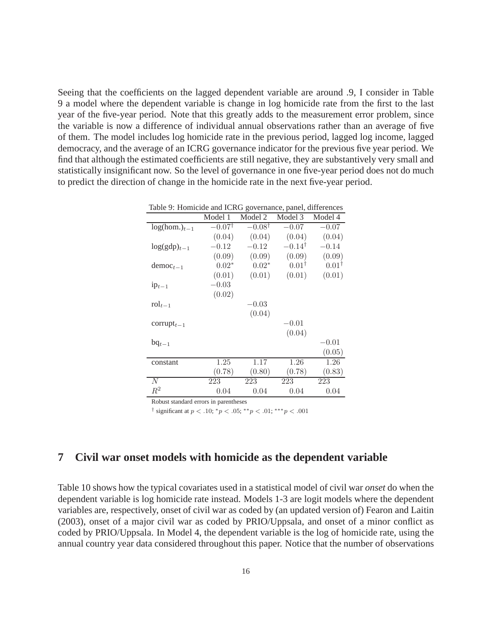Seeing that the coefficients on the lagged dependent variable are around .9, I consider in Table 9 a model where the dependent variable is change in log homicide rate from the first to the last year of the five-year period. Note that this greatly adds to the measurement error problem, since the variable is now a difference of individual annual observations rather than an average of five of them. The model includes log homicide rate in the previous period, lagged log income, lagged democracy, and the average of an ICRG governance indicator for the previous five year period. We find that although the estimated coefficients are still negative, they are substantively very small and statistically insignificant now. So the level of governance in one five-year period does not do much to predict the direction of change in the homicide rate in the next five-year period.

| Table 9: Homicide and ICRG governance, panel, differences |                   |                   |                   |                  |  |  |
|-----------------------------------------------------------|-------------------|-------------------|-------------------|------------------|--|--|
|                                                           | Model 1           | Model 2           | Model 3           | Model 4          |  |  |
| $log(hom.)_{t-1}$                                         | $-0.07^{\dagger}$ | $-0.08^{\dagger}$ | $-0.07$           | $-0.07$          |  |  |
|                                                           | (0.04)            | (0.04)            | (0.04)            | (0.04)           |  |  |
| $log(gdp)_{t-1}$                                          | $-0.12$           | $-0.12$           | $-0.14^{\dagger}$ | $-0.14$          |  |  |
|                                                           | (0.09)            | (0.09)            | (0.09)            | (0.09)           |  |  |
| $democ_{t-1}$                                             | $0.02*$           | $0.02*$           | $0.01^{\dagger}$  | $0.01^{\dagger}$ |  |  |
|                                                           | (0.01)            | (0.01)            | (0.01)            | (0.01)           |  |  |
| $1p_{t-1}$                                                | $-0.03$           |                   |                   |                  |  |  |
|                                                           | (0.02)            |                   |                   |                  |  |  |
| $\text{rol}_{t-1}$                                        |                   | $-0.03$           |                   |                  |  |  |
|                                                           |                   | (0.04)            |                   |                  |  |  |
| corrupt <sub><math>t-1</math></sub>                       |                   |                   | $-0.01$           |                  |  |  |
|                                                           |                   |                   | (0.04)            |                  |  |  |
| $bq_{t-1}$                                                |                   |                   |                   | $-0.01$          |  |  |
|                                                           |                   |                   |                   | (0.05)           |  |  |
| constant                                                  | 1.25              | 1.17              | 1.26              | 1.26             |  |  |
|                                                           | (0.78)            | (0.80)            | (0.78)            | (0.83)           |  |  |
| N                                                         | 223               | 223               | 223               | 223              |  |  |
| $R^2$                                                     | 0.04              | 0.04              | 0.04              | 0.04             |  |  |

Robust standard errors in parentheses

<sup>†</sup> significant at  $p < .10$ ;  ${}^*p < .05$ ;  ${}^{**}p < .01$ ;  ${}^{***}p < .001$ 

#### **7 Civil war onset models with homicide as the dependent variable**

Table 10 shows how the typical covariates used in a statistical model of civil war *onset* do when the dependent variable is log homicide rate instead. Models 1-3 are logit models where the dependent variables are, respectively, onset of civil war as coded by (an updated version of) Fearon and Laitin (2003), onset of a major civil war as coded by PRIO/Uppsala, and onset of a minor conflict as coded by PRIO/Uppsala. In Model 4, the dependent variable is the log of homicide rate, using the annual country year data considered throughout this paper. Notice that the number of observations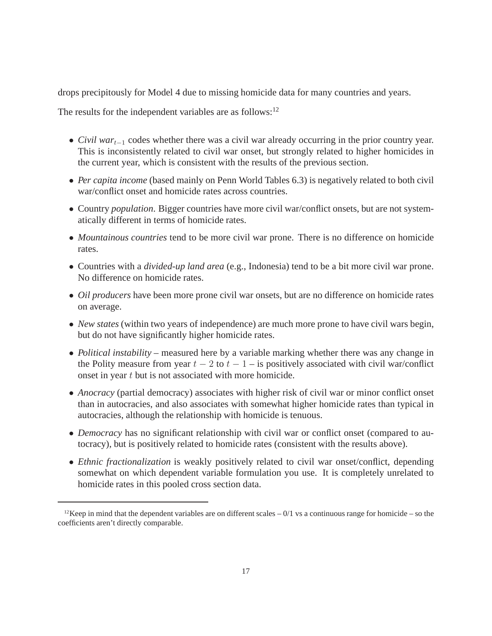drops precipitously for Model 4 due to missing homicide data for many countries and years.

The results for the independent variables are as follows: $12$ 

- *Civil war*t−<sup>1</sup> codes whether there was a civil war already occurring in the prior country year. This is inconsistently related to civil war onset, but strongly related to higher homicides in the current year, which is consistent with the results of the previous section.
- *Per capita income* (based mainly on Penn World Tables 6.3) is negatively related to both civil war/conflict onset and homicide rates across countries.
- Country *population*. Bigger countries have more civil war/conflict onsets, but are not systematically different in terms of homicide rates.
- *Mountainous countries* tend to be more civil war prone. There is no difference on homicide rates.
- Countries with a *divided-up land area* (e.g., Indonesia) tend to be a bit more civil war prone. No difference on homicide rates.
- *Oil producers* have been more prone civil war onsets, but are no difference on homicide rates on average.
- *New states* (within two years of independence) are much more prone to have civil wars begin, but do not have significantly higher homicide rates.
- *Political instability* measured here by a variable marking whether there was any change in the Polity measure from year  $t - 2$  to  $t - 1 -$  is positively associated with civil war/conflict onset in year t but is not associated with more homicide.
- *Anocracy* (partial democracy) associates with higher risk of civil war or minor conflict onset than in autocracies, and also associates with somewhat higher homicide rates than typical in autocracies, although the relationship with homicide is tenuous.
- *Democracy* has no significant relationship with civil war or conflict onset (compared to autocracy), but is positively related to homicide rates (consistent with the results above).
- *Ethnic fractionalization* is weakly positively related to civil war onset/conflict, depending somewhat on which dependent variable formulation you use. It is completely unrelated to homicide rates in this pooled cross section data.

<sup>&</sup>lt;sup>12</sup>Keep in mind that the dependent variables are on different scales  $-0/1$  vs a continuous range for homicide – so the coefficients aren't directly comparable.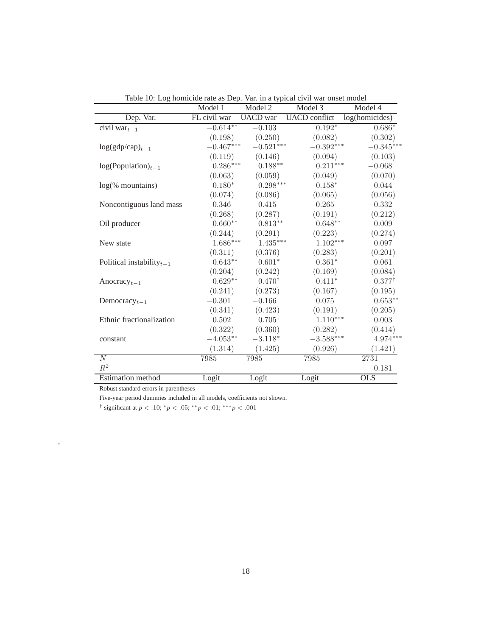|                                       | Model 1                | Model 2                | raoic To. Log homicide rate as Dep. val. in a typical civil war onset moder<br>Model 3 | Model 4           |
|---------------------------------------|------------------------|------------------------|----------------------------------------------------------------------------------------|-------------------|
| Dep. Var.                             | FL civil war           | <b>UACD</b> war        | UACD conflict log(homicides)                                                           |                   |
| civil $\text{war}_{t-1}$              | $-0.614**$             | $-0.103$               | $0.192*$                                                                               | $0.686*$          |
|                                       | (0.198)                | (0.250)                | (0.082)                                                                                | (0.302)           |
| $log(gdp/cap)_{t-1}$                  | $-0.467***$            | $-0.521***$            | $-0.392^{\ast\ast\ast}$                                                                | $-0.345***$       |
|                                       | (0.119)                | (0.146)                | (0.094)                                                                                | (0.103)           |
| $log(Population)_{t-1}$               | $0.286***$             | $0.188**$              | $0.211***$                                                                             | $-0.068$          |
|                                       | (0.063)                | (0.059)                | (0.049)                                                                                | (0.070)           |
| $log(\%$ mountains)                   | $0.180*$               | $0.298^{\ast\ast\ast}$ | $0.158*$                                                                               | 0.044             |
|                                       | (0.074)                | (0.086)                | (0.065)                                                                                | (0.056)           |
| Noncontiguous land mass               | 0.346                  | 0.415                  | 0.265                                                                                  | $-0.332$          |
|                                       | (0.268)                | (0.287)                | (0.191)                                                                                | (0.212)           |
| Oil producer                          | $0.660**$              | $0.813**$              | $0.648^{\ast\ast}$                                                                     | 0.009             |
|                                       | (0.244)                | (0.291)                | (0.223)                                                                                | (0.274)           |
| New state                             | $1.686^{\ast\ast\ast}$ | $1.435***$             | $1.102***$                                                                             | 0.097             |
|                                       | (0.311)                | (0.376)                | (0.283)                                                                                | (0.201)           |
| Political instability $_{t-1}$        | $0.643**$              | $0.601*$               | $0.361*$                                                                               | 0.061             |
|                                       | (0.204)                | (0.242)                | (0.169)                                                                                | (0.084)           |
| Anocracy <sub>t-1</sub>               | $0.629**$              | $0.470^{\dagger}$      | $0.411*$                                                                               | $0.377^{\dagger}$ |
|                                       | (0.241)                | (0.273)                | (0.167)                                                                                | (0.195)           |
| Democracy <sub><math>t-1</math></sub> | $-0.301$               | $-0.166$               | 0.075                                                                                  | $0.653**$         |
|                                       | (0.341)                | (0.423)                | (0.191)                                                                                | (0.205)           |
| Ethnic fractionalization              | 0.502                  | $0.705^{\dagger}$      | $1.110***$                                                                             | 0.003             |
|                                       | (0.322)                | (0.360)                | (0.282)                                                                                | (0.414)           |
| constant                              | $-4.053**$             | $-3.118*$              | $-3.588^{\ast\ast\ast}$                                                                | 4.974***          |
|                                       | (1.314)                | (1.425)                | (0.926)                                                                                | (1.421)           |
| N                                     | 7985                   | 7985                   | 7985                                                                                   | 2731              |
| $\mathbb{R}^2$                        |                        |                        |                                                                                        | 0.181             |
| Estimation method                     | Logit                  | Logit                  | Logit                                                                                  | O <sub>LS</sub>   |

Table 10: Log homicide rate as Dep. Var. in a typical civil war onset model

Robust standard errors in parentheses

.

Five-year period dummies included in all models, coefficients not shown.

<sup>†</sup> significant at  $p < .10$ ;  $^*p < .05$ ;  $^{**}p < .01$ ;  $^{***}p < .001$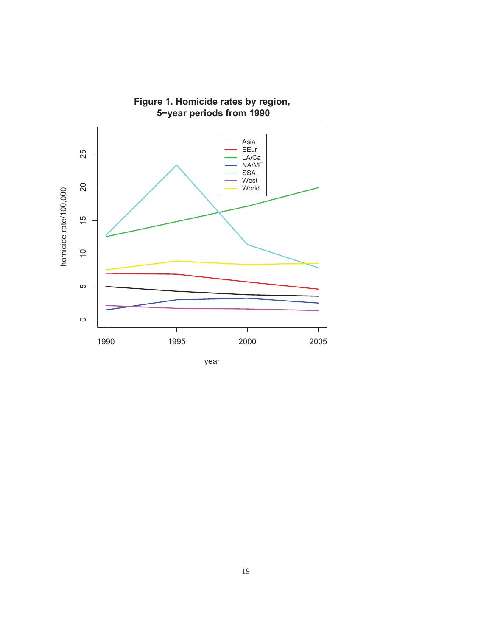

**Figure 1. Homicide rates by region,**

year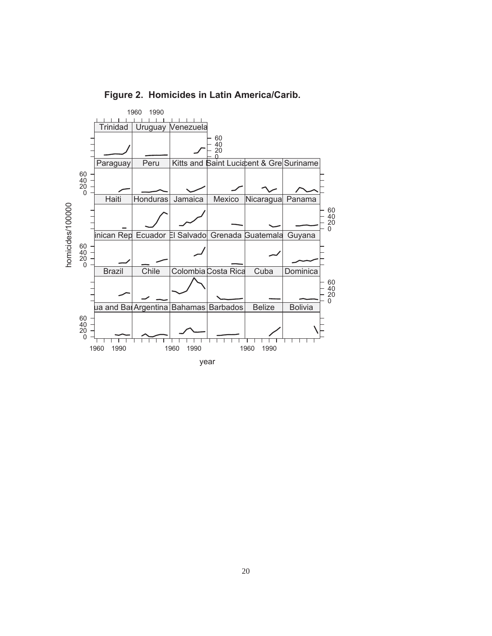

**Figure 2. Homicides in Latin America/Carib.**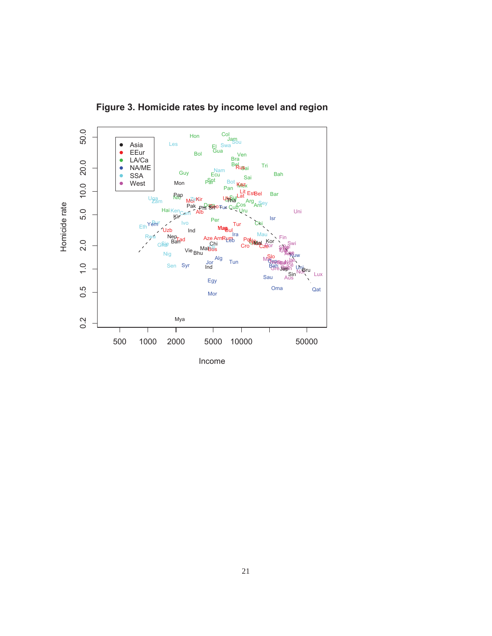

**Figure 3. Homicide rates by income level and region**

Income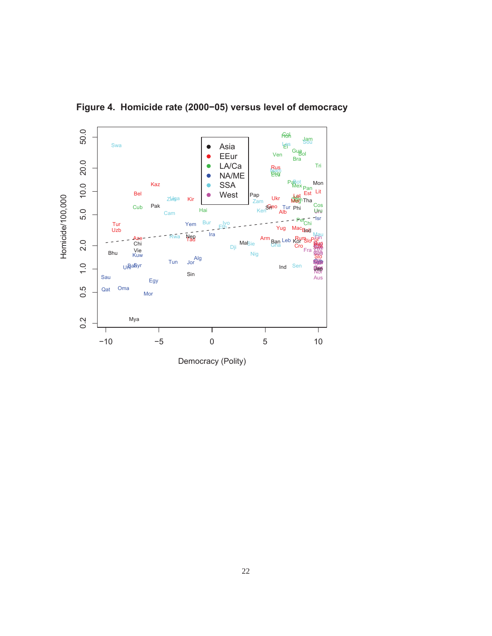

**Figure 4. Homicide rate (2000−05) versus level of democracy**

Democracy (Polity)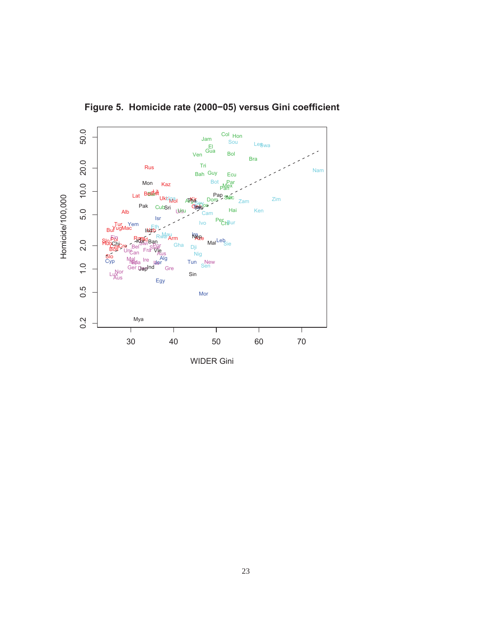

**Figure 5. Homicide rate (2000−05) versus Gini coefficient**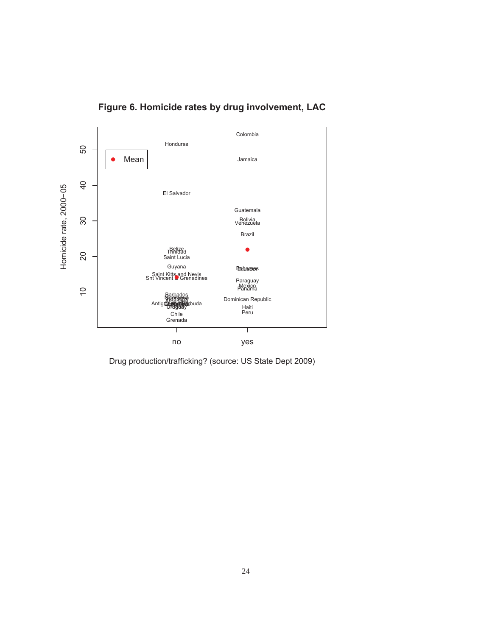

**Figure 6. Homicide rates by drug involvement, LAC**

Drug production/trafficking? (source: US State Dept 2009)